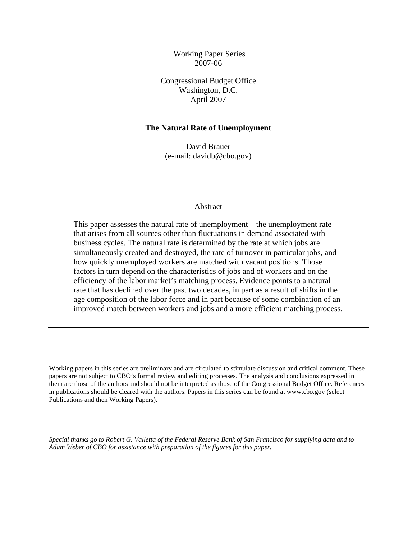Working Paper Series 2007-06

Congressional Budget Office Washington, D.C. April 2007

### **The Natural Rate of Unemployment**

David Brauer (e-mail: [davidb@cbo.gov](mailto:davidb@cbo.gov))

#### Abstract

This paper assesses the natural rate of unemployment—the unemployment rate that arises from all sources other than fluctuations in demand associated with business cycles. The natural rate is determined by the rate at which jobs are simultaneously created and destroyed, the rate of turnover in particular jobs, and how quickly unemployed workers are matched with vacant positions. Those factors in turn depend on the characteristics of jobs and of workers and on the efficiency of the labor market's matching process. Evidence points to a natural rate that has declined over the past two decades, in part as a result of shifts in the age composition of the labor force and in part because of some combination of an improved match between workers and jobs and a more efficient matching process.

Working papers in this series are preliminary and are circulated to stimulate discussion and critical comment. These papers are not subject to CBO's formal review and editing processes. The analysis and conclusions expressed in them are those of the authors and should not be interpreted as those of the Congressional Budget Office. References in publications should be cleared with the authors. Papers in this series can be found at www.cbo.gov (select Publications and then Working Papers).

*Special thanks go to Robert G. Valletta of the Federal Reserve Bank of San Francisco for supplying data and to Adam Weber of CBO for assistance with preparation of the figures for this paper.*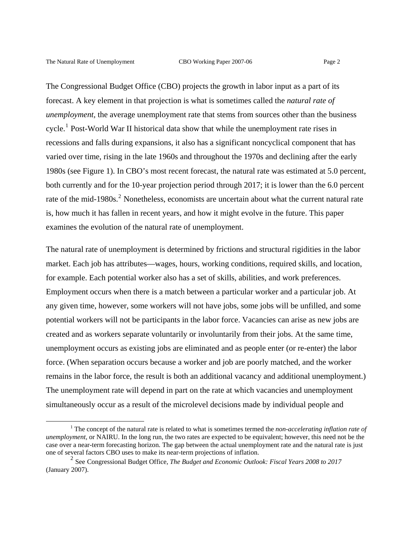The Congressional Budget Office (CBO) projects the growth in labor input as a part of its forecast. A key element in that projection is what is sometimes called the *natural rate of unemployment,* the average unemployment rate that stems from sources other than the business cycle.<sup>[1](#page-1-0)</sup> Post-World War II historical data show that while the unemployment rate rises in recessions and falls during expansions, it also has a significant noncyclical component that has varied over time, rising in the late 1960s and throughout the 1970s and declining after the early 1980s (see Figure 1). In CBO's most recent forecast, the natural rate was estimated at 5.0 percent, both currently and for the 10-year projection period through 2017; it is lower than the 6.0 percent rate of the mid-1980s.<sup>[2](#page-1-1)</sup> Nonetheless, economists are uncertain about what the current natural rate is, how much it has fallen in recent years, and how it might evolve in the future. This paper examines the evolution of the natural rate of unemployment.

The natural rate of unemployment is determined by frictions and structural rigidities in the labor market. Each job has attributes—wages, hours, working conditions, required skills, and location, for example. Each potential worker also has a set of skills, abilities, and work preferences. Employment occurs when there is a match between a particular worker and a particular job. At any given time, however, some workers will not have jobs, some jobs will be unfilled, and some potential workers will not be participants in the labor force. Vacancies can arise as new jobs are created and as workers separate voluntarily or involuntarily from their jobs. At the same time, unemployment occurs as existing jobs are eliminated and as people enter (or re-enter) the labor force. (When separation occurs because a worker and job are poorly matched, and the worker remains in the labor force, the result is both an additional vacancy and additional unemployment.) The unemployment rate will depend in part on the rate at which vacancies and unemployment simultaneously occur as a result of the microlevel decisions made by individual people and

<span id="page-1-0"></span> $\frac{1}{1}$  The concept of the natural rate is related to what is sometimes termed the *non-accelerating inflation rate of unemployment,* or NAIRU. In the long run, the two rates are expected to be equivalent; however, this need not be the case over a near-term forecasting horizon. The gap between the actual unemployment rate and the natural rate is just one of several factors CBO uses to make its near-term projections of inflation.

<span id="page-1-1"></span><sup>2</sup> See Congressional Budget Office, *The Budget and Economic Outlook: Fiscal Years 2008 to 2017* (January 2007).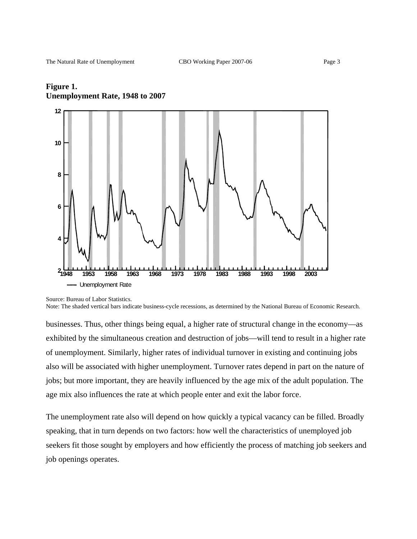

## **Figure 1. Unemployment Rate, 1948 to 2007**

businesses. Thus, other things being equal, a higher rate of structural change in the economy—as exhibited by the simultaneous creation and destruction of jobs—will tend to result in a higher rate of unemployment. Similarly, higher rates of individual turnover in existing and continuing jobs also will be associated with higher unemployment. Turnover rates depend in part on the nature of jobs; but more important, they are heavily influenced by the age mix of the adult population. The age mix also influences the rate at which people enter and exit the labor force.

The unemployment rate also will depend on how quickly a typical vacancy can be filled. Broadly speaking, that in turn depends on two factors: how well the characteristics of unemployed job seekers fit those sought by employers and how efficiently the process of matching job seekers and job openings operates.

Source: Bureau of Labor Statistics.

Note: The shaded vertical bars indicate business-cycle recessions, as determined by the National Bureau of Economic Research.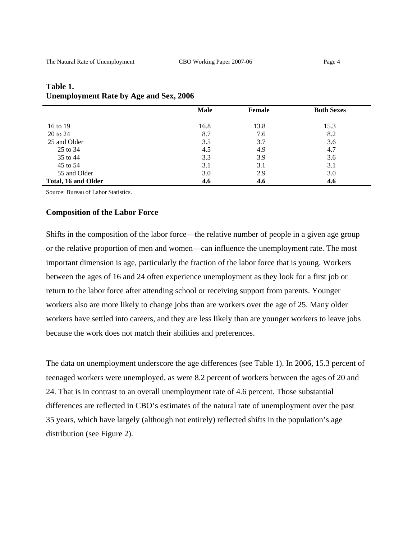|                     | <b>Male</b> | Female | <b>Both Sexes</b> |
|---------------------|-------------|--------|-------------------|
|                     |             |        |                   |
| 16 to 19            | 16.8        | 13.8   | 15.3              |
| 20 to 24            | 8.7         | 7.6    | 8.2               |
| 25 and Older        | 3.5         | 3.7    | 3.6               |
| 25 to 34            | 4.5         | 4.9    | 4.7               |
| 35 to 44            | 3.3         | 3.9    | 3.6               |
| 45 to 54            | 3.1         | 3.1    | 3.1               |
| 55 and Older        | 3.0         | 2.9    | 3.0               |
| Total, 16 and Older | 4.6         | 4.6    | 4.6               |

### **Table 1. Unemployment Rate by Age and Sex, 2006**

Source: Bureau of Labor Statistics.

#### **Composition of the Labor Force**

Shifts in the composition of the labor force—the relative number of people in a given age group or the relative proportion of men and women—can influence the unemployment rate. The most important dimension is age, particularly the fraction of the labor force that is young. Workers between the ages of 16 and 24 often experience unemployment as they look for a first job or return to the labor force after attending school or receiving support from parents. Younger workers also are more likely to change jobs than are workers over the age of 25. Many older workers have settled into careers, and they are less likely than are younger workers to leave jobs because the work does not match their abilities and preferences.

The data on unemployment underscore the age differences (see Table 1). In 2006, 15.3 percent of teenaged workers were unemployed, as were 8.2 percent of workers between the ages of 20 and 24. That is in contrast to an overall unemployment rate of 4.6 percent. Those substantial differences are reflected in CBO's estimates of the natural rate of unemployment over the past 35 years, which have largely (although not entirely) reflected shifts in the population's age distribution (see Figure 2).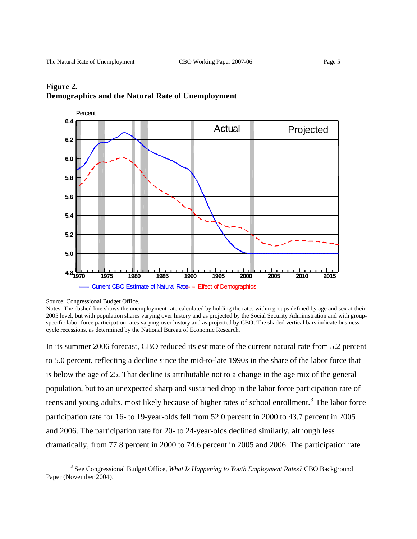

### **Figure 2. Demographics and the Natural Rate of Unemployment**

Source: Congressional Budget Office.

 $\overline{a}$ 

In its summer 2006 forecast, CBO reduced its estimate of the current natural rate from 5.2 percent to 5.0 percent, reflecting a decline since the mid-to-late 1990s in the share of the labor force that is below the age of 25. That decline is attributable not to a change in the age mix of the general population, but to an unexpected sharp and sustained drop in the labor force participation rate of teens and young adults, most likely because of higher rates of school enrollment.<sup>[3](#page-4-0)</sup> The labor force participation rate for 16- to 19-year-olds fell from 52.0 percent in 2000 to 43.7 percent in 2005 and 2006. The participation rate for 20- to 24-year-olds declined similarly, although less dramatically, from 77.8 percent in 2000 to 74.6 percent in 2005 and 2006. The participation rate

Notes: The dashed line shows the unemployment rate calculated by holding the rates within groups defined by age and sex at their 2005 level, but with population shares varying over history and as projected by the Social Security Administration and with groupspecific labor force participation rates varying over history and as projected by CBO. The shaded vertical bars indicate businesscycle recessions, as determined by the National Bureau of Economic Research.

<span id="page-4-0"></span><sup>&</sup>lt;sup>3</sup> See Congressional Budget Office, *What Is Happening to Youth Employment Rates?* CBO Background Paper (November 2004).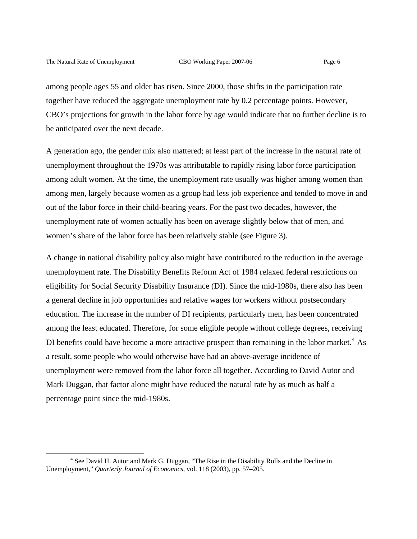among people ages 55 and older has risen. Since 2000, those shifts in the participation rate together have reduced the aggregate unemployment rate by 0.2 percentage points. However, CBO's projections for growth in the labor force by age would indicate that no further decline is to be anticipated over the next decade.

A generation ago, the gender mix also mattered; at least part of the increase in the natural rate of unemployment throughout the 1970s was attributable to rapidly rising labor force participation among adult women. At the time, the unemployment rate usually was higher among women than among men, largely because women as a group had less job experience and tended to move in and out of the labor force in their child-bearing years. For the past two decades, however, the unemployment rate of women actually has been on average slightly below that of men, and women's share of the labor force has been relatively stable (see Figure 3).

A change in national disability policy also might have contributed to the reduction in the average unemployment rate. The Disability Benefits Reform Act of 1984 relaxed federal restrictions on eligibility for Social Security Disability Insurance (DI). Since the mid-1980s, there also has been a general decline in job opportunities and relative wages for workers without postsecondary education. The increase in the number of DI recipients, particularly men, has been concentrated among the least educated. Therefore, for some eligible people without college degrees, receiving DI benefits could have become a more attractive prospect than remaining in the labor market.<sup>[4](#page-5-0)</sup> As a result, some people who would otherwise have had an above-average incidence of unemployment were removed from the labor force all together. According to David Autor and Mark Duggan, that factor alone might have reduced the natural rate by as much as half a percentage point since the mid-1980s.

<span id="page-5-0"></span><sup>&</sup>lt;sup>4</sup> See David H. Autor and Mark G. Duggan, "The Rise in the Disability Rolls and the Decline in Unemployment," *Quarterly Journal of Economics,* vol. 118 (2003), pp. 57–205.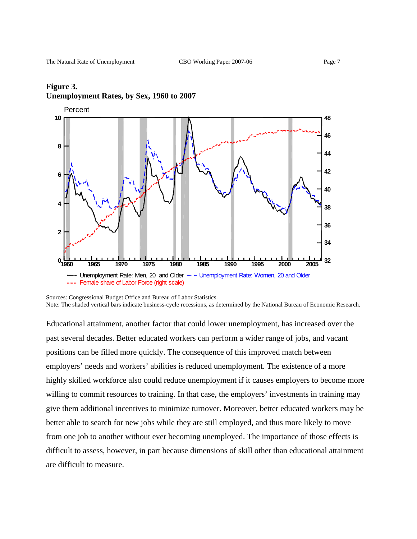# **1960 1965 1970 1975 1980 1985 1990 1995 2000 2005 10 8 6 4 2 0 48 46 44 42 40 38 36 34 32 Percent** Unemployment Rate: Men, 20 and Older  $-$  - Unemployment Rate: Women, 20 and Older --- Female share of Labor Force (right scale)

# **Figure 3. Unemployment Rates, by Sex, 1960 to 2007**

Educational attainment, another factor that could lower unemployment, has increased over the past several decades. Better educated workers can perform a wider range of jobs, and vacant positions can be filled more quickly. The consequence of this improved match between employers' needs and workers' abilities is reduced unemployment. The existence of a more highly skilled workforce also could reduce unemployment if it causes employers to become more willing to commit resources to training. In that case, the employers' investments in training may give them additional incentives to minimize turnover. Moreover, better educated workers may be better able to search for new jobs while they are still employed, and thus more likely to move from one job to another without ever becoming unemployed. The importance of those effects is difficult to assess, however, in part because dimensions of skill other than educational attainment are difficult to measure.

Sources: Congressional Budget Office and Bureau of Labor Statistics. Note: The shaded vertical bars indicate business-cycle recessions, as determined by the National Bureau of Economic Research.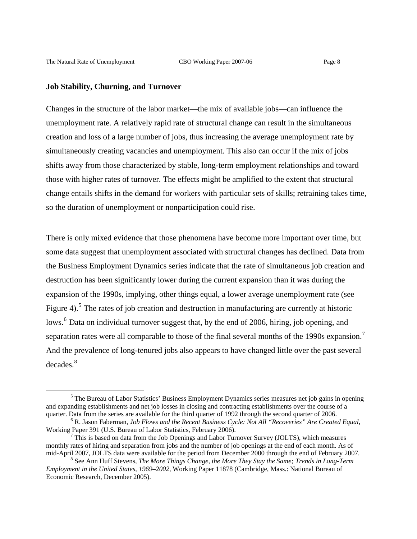### **Job Stability, Churning, and Turnover**

Changes in the structure of the labor market—the mix of available jobs—can influence the unemployment rate. A relatively rapid rate of structural change can result in the simultaneous creation and loss of a large number of jobs, thus increasing the average unemployment rate by simultaneously creating vacancies and unemployment. This also can occur if the mix of jobs shifts away from those characterized by stable, long-term employment relationships and toward those with higher rates of turnover. The effects might be amplified to the extent that structural change entails shifts in the demand for workers with particular sets of skills; retraining takes time, so the duration of unemployment or nonparticipation could rise.

There is only mixed evidence that those phenomena have become more important over time, but some data suggest that unemployment associated with structural changes has declined. Data from the Business Employment Dynamics series indicate that the rate of simultaneous job creation and destruction has been significantly lower during the current expansion than it was during the expansion of the 1990s, implying, other things equal, a lower average unemployment rate (see Figure 4).<sup>[5](#page-7-0)</sup> The rates of job creation and destruction in manufacturing are currently at historic lows.<sup>[6](#page-7-1)</sup> Data on individual turnover suggest that, by the end of 2006, hiring, job opening, and separation rates were all comparable to those of the final several months of the 1990s expansion.<sup>[7](#page-7-2)</sup> And the prevalence of long-tenured jobs also appears to have changed little over the past several decades.<sup>[8](#page-7-3)</sup>

<span id="page-7-0"></span><sup>&</sup>lt;sup>5</sup> The Bureau of Labor Statistics' Business Employment Dynamics series measures net job gains in opening and expanding establishments and net job losses in closing and contracting establishments over the course of a quarter. Data from the series are available for the third quarter of 1992 through the second quarter of 2006.

<span id="page-7-1"></span>R. Jason Faberman, *Job Flows and the Recent Business Cycle: Not All "Recoveries" Are Created Equal,* Working Paper 391 (U.S. Bureau of Labor Statistics, February 2006). 7

<span id="page-7-2"></span> $^7$  This is based on data from the Job Openings and Labor Turnover Survey (JOLTS), which measures monthly rates of hiring and separation from jobs and the number of job openings at the end of each month. As of mid-April 2007, JOLTS data were available for the period from December 2000 through the end of February 2007.

<span id="page-7-3"></span>See Ann Huff Stevens, *The More Things Change, the More They Stay the Same; Trends in Long-Term Employment in the United States, 1969–2002,* Working Paper 11878 (Cambridge, Mass.: National Bureau of Economic Research, December 2005).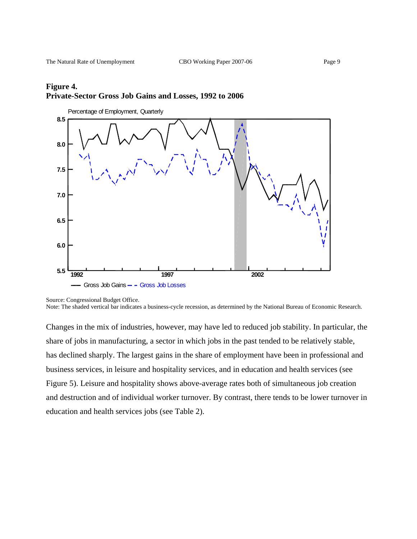

Source: Congressional Budget Office.

Note: The shaded vertical bar indicates a business-cycle recession, as determined by the National Bureau of Economic Research.

Changes in the mix of industries, however, may have led to reduced job stability. In particular, the share of jobs in manufacturing, a sector in which jobs in the past tended to be relatively stable, has declined sharply. The largest gains in the share of employment have been in professional and business services, in leisure and hospitality services, and in education and health services (see Figure 5). Leisure and hospitality shows above-average rates both of simultaneous job creation and destruction and of individual worker turnover. By contrast, there tends to be lower turnover in education and health services jobs (see Table 2).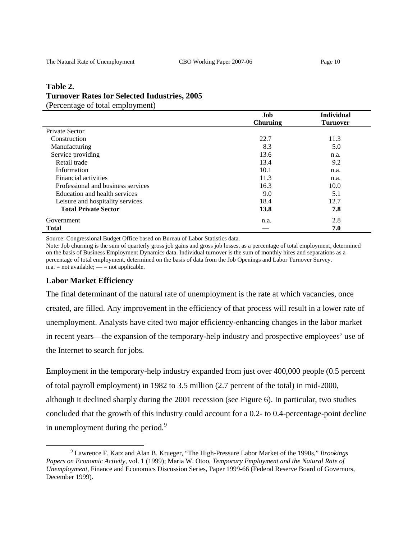### **Table 2. Turnover Rates for Selected Industries, 2005**  (Percentage of total employment)

| ັ                                  | Job             | <b>Individual</b> |
|------------------------------------|-----------------|-------------------|
|                                    | <b>Churning</b> | <b>Turnover</b>   |
| Private Sector                     |                 |                   |
| Construction                       | 22.7            | 11.3              |
| Manufacturing                      | 8.3             | 5.0               |
| Service providing                  | 13.6            | n.a.              |
| Retail trade                       | 13.4            | 9.2               |
| Information                        | 10.1            | n.a.              |
| Financial activities               | 11.3            | n.a.              |
| Professional and business services | 16.3            | 10.0              |
| Education and health services      | 9.0             | 5.1               |
| Leisure and hospitality services   | 18.4            | 12.7              |
| <b>Total Private Sector</b>        | 13.8            | 7.8               |
| Government                         | n.a.            | 2.8               |
| <b>Total</b>                       |                 | 7.0               |

Source: Congressional Budget Office based on Bureau of Labor Statistics data.

Note: Job churning is the sum of quarterly gross job gains and gross job losses, as a percentage of total employment, determined on the basis of Business Employment Dynamics data. Individual turnover is the sum of monthly hires and separations as a percentage of total employment, determined on the basis of data from the Job Openings and Labor Turnover Survey.  $n.a. = not available; — = not applicable.$ 

### **Labor Market Efficiency**

The final determinant of the natural rate of unemployment is the rate at which vacancies, once created, are filled. Any improvement in the efficiency of that process will result in a lower rate of unemployment. Analysts have cited two major efficiency-enhancing changes in the labor market in recent years—the expansion of the temporary-help industry and prospective employees' use of the Internet to search for jobs.

Employment in the temporary-help industry expanded from just over 400,000 people (0.5 percent of total payroll employment) in 1982 to 3.5 million (2.7 percent of the total) in mid-2000, although it declined sharply during the 2001 recession (see Figure 6). In particular, two studies concluded that the growth of this industry could account for a 0.2- to 0.4-percentage-point decline in unemployment during the period. $9$ 

<span id="page-9-0"></span> $\frac{1}{9}$  Lawrence F. Katz and Alan B. Krueger, "The High-Pressure Labor Market of the 1990s," *Brookings Papers on Economic Activity,* vol. 1 (1999); Maria W. Otoo, *Temporary Employment and the Natural Rate of Unemployment*, Finance and Economics Discussion Series, Paper 1999-66 (Federal Reserve Board of Governors, December 1999).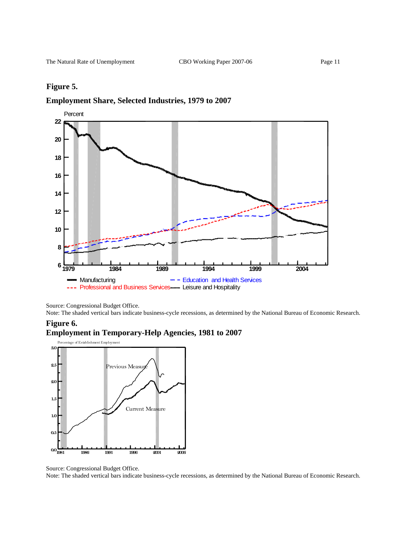### **Figure 5.**

### **Employment Share, Selected Industries, 1979 to 2007**



Source: Congressional Budget Office.

Note: The shaded vertical bars indicate business-cycle recessions, as determined by the National Bureau of Economic Research.





Source: Congressional Budget Office.

Note: The shaded vertical bars indicate business-cycle recessions, as determined by the National Bureau of Economic Research.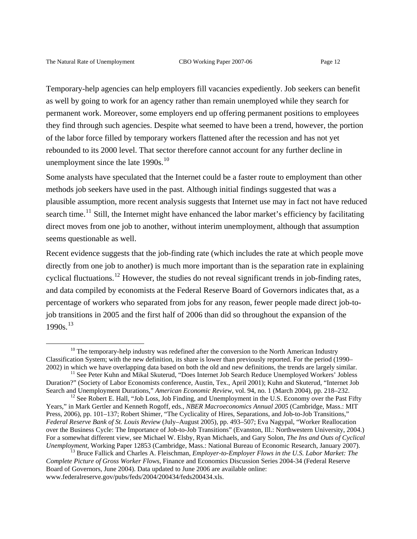Temporary-help agencies can help employers fill vacancies expediently. Job seekers can benefit as well by going to work for an agency rather than remain unemployed while they search for permanent work. Moreover, some employers end up offering permanent positions to employees they find through such agencies. Despite what seemed to have been a trend, however, the portion of the labor force filled by temporary workers flattened after the recession and has not yet rebounded to its 2000 level. That sector therefore cannot account for any further decline in unemployment since the late  $1990s$ .<sup>[10](#page-11-0)</sup>

Some analysts have speculated that the Internet could be a faster route to employment than other methods job seekers have used in the past. Although initial findings suggested that was a plausible assumption, more recent analysis suggests that Internet use may in fact not have reduced search time.<sup>[11](#page-11-1)</sup> Still, the Internet might have enhanced the labor market's efficiency by facilitating direct moves from one job to another, without interim unemployment, although that assumption seems questionable as well.

Recent evidence suggests that the job-finding rate (which includes the rate at which people move directly from one job to another) is much more important than is the separation rate in explaining cyclical fluctuations.<sup>[12](#page-11-2)</sup> However, the studies do not reveal significant trends in job-finding rates, and data compiled by economists at the Federal Reserve Board of Governors indicates that, as a percentage of workers who separated from jobs for any reason, fewer people made direct job-tojob transitions in 2005 and the first half of 2006 than did so throughout the expansion of the  $1990s.$ <sup>[13](#page-11-3)</sup>

<span id="page-11-0"></span> $10$  The temporary-help industry was redefined after the conversion to the North American Industry Classification System; with the new definition, its share is lower than previously reported. For the period (1990–

<span id="page-11-1"></span><sup>2002)</sup> in which we have overlapping data based on both the old and new definitions, the trends are largely similar. 11 See Peter Kuhn and Mikal Skuterud, "Does Internet Job Search Reduce Unemployed Workers' Jobless Duration?" (Society of Labor Economists conference, Austin, Tex., April 2001); Kuhn and Skuterud, "Internet Job Search and Unemployment Durations," *American Economic Review*, vol. 94, no. 1 (March 2004), pp. 218–232.<br><sup>12</sup> See Robert E. Hall, "Job Loss, Job Finding, and Unemployment in the U.S. Economy over the Past Fifty

<span id="page-11-2"></span>Years," in Mark Gertler and Kenneth Rogoff, eds., *NBER Macroeconomics Annual 2005* (Cambridge, Mass.: MIT Press, 2006), pp. 101–137; Robert Shimer, "The Cyclicality of Hires, Separations, and Job-to-Job Transitions," *Federal Reserve Bank of St. Louis Review* (July–August 2005), pp. 493–507; Eva Nagypal, "Worker Reallocation over the Business Cycle: The Importance of Job-to-Job Transitions" (Evanston, Ill.: Northwestern University, 2004.) For a somewhat different view, see Michael W. Elsby, Ryan Michaels, and Gary Solon, *The Ins and Outs of Cyclical* 

<span id="page-11-3"></span><sup>&</sup>lt;sup>13</sup> Bruce Fallick and Charles A. Fleischman, *Employer-to-Employer Flows in the U.S. Labor Market: The Complete Picture of Gross Worker Flows,* Finance and Economics Discussion Series 2004-34 (Federal Reserve Board of Governors, June 2004). Data updated to June 2006 are available online: www.federalreserve.gov/pubs/feds/2004/200434/feds200434.xls.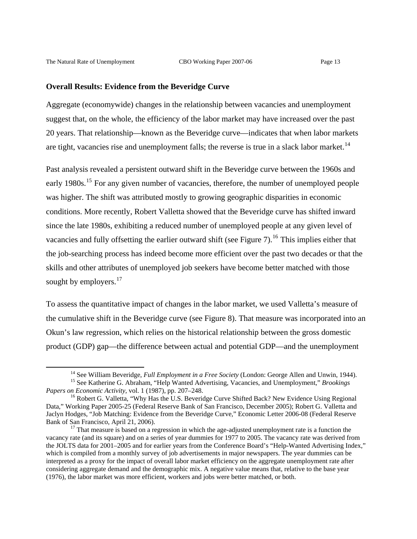#### **Overall Results: Evidence from the Beveridge Curve**

Aggregate (economywide) changes in the relationship between vacancies and unemployment suggest that, on the whole, the efficiency of the labor market may have increased over the past 20 years. That relationship—known as the Beveridge curve—indicates that when labor markets are tight, vacancies rise and unemployment falls; the reverse is true in a slack labor market.<sup>[14](#page-12-0)</sup>

Past analysis revealed a persistent outward shift in the Beveridge curve between the 1960s and early 1980s.<sup>[15](#page-12-1)</sup> For any given number of vacancies, therefore, the number of unemployed people was higher. The shift was attributed mostly to growing geographic disparities in economic conditions. More recently, Robert Valletta showed that the Beveridge curve has shifted inward since the late 1980s, exhibiting a reduced number of unemployed people at any given level of vacancies and fully offsetting the earlier outward shift (see Figure 7).<sup>[16](#page-12-2)</sup> This implies either that the job-searching process has indeed become more efficient over the past two decades or that the skills and other attributes of unemployed job seekers have become better matched with those sought by employers. $17$ 

To assess the quantitative impact of changes in the labor market, we used Valletta's measure of the cumulative shift in the Beveridge curve (see Figure 8). That measure was incorporated into an Okun's law regression, which relies on the historical relationship between the gross domestic product (GDP) gap—the difference between actual and potential GDP—and the unemployment

<span id="page-12-1"></span><span id="page-12-0"></span><sup>&</sup>lt;sup>14</sup> See William Beveridge, *Full Employment in a Free Society* (London: George Allen and Unwin, 1944).<br><sup>15</sup> See Katherine G. Abraham, "Help Wanted Advertising, Vacancies, and Unemployment," *Brookings Papers on Economic A* 

<span id="page-12-2"></span><sup>&</sup>lt;sup>16</sup> Robert G. Valletta, "Why Has the U.S. Beveridge Curve Shifted Back? New Evidence Using Regional Data," Working Paper 2005-25 (Federal Reserve Bank of San Francisco, December 2005); Robert G. Valletta and Jaclyn Hodges, "Job Matching: Evidence from the Beveridge Curve," Economic Letter 2006-08 (Federal Reserve Bank of San Francisco, April 21, 2006).<br><sup>17</sup> That measure is based on a regression in which the age-adjusted unemployment rate is a function the

<span id="page-12-3"></span>vacancy rate (and its square) and on a series of year dummies for 1977 to 2005. The vacancy rate was derived from the JOLTS data for 2001–2005 and for earlier years from the Conference Board's "Help-Wanted Advertising Index," which is compiled from a monthly survey of job advertisements in major newspapers. The year dummies can be interpreted as a proxy for the impact of overall labor market efficiency on the aggregate unemployment rate after considering aggregate demand and the demographic mix. A negative value means that, relative to the base year (1976), the labor market was more efficient, workers and jobs were better matched, or both.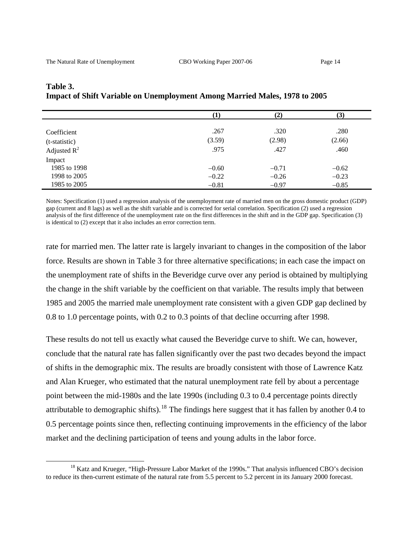|                | $\bf{1)}$ | $\left( 2\right)$ | (3)     |
|----------------|-----------|-------------------|---------|
| Coefficient    | .267      | .320              | .280    |
| (t-statistic)  | (3.59)    | (2.98)            | (2.66)  |
| Adjusted $R^2$ | .975      | .427              | .460    |
| Impact         |           |                   |         |
| 1985 to 1998   | $-0.60$   | $-0.71$           | $-0.62$ |
| 1998 to 2005   | $-0.22$   | $-0.26$           | $-0.23$ |
| 1985 to 2005   | $-0.81$   | $-0.97$           | $-0.85$ |

## **Table 3. Impact of Shift Variable on Unemployment Among Married Males, 1978 to 2005**

Notes: Specification (1) used a regression analysis of the unemployment rate of married men on the gross domestic product (GDP) gap (current and 8 lags) as well as the shift variable and is corrected for serial correlation. Specification (2) used a regression analysis of the first difference of the unemployment rate on the first differences in the shift and in the GDP gap. Specification (3) is identical to (2) except that it also includes an error correction term.

rate for married men. The latter rate is largely invariant to changes in the composition of the labor force. Results are shown in Table 3 for three alternative specifications; in each case the impact on the unemployment rate of shifts in the Beveridge curve over any period is obtained by multiplying the change in the shift variable by the coefficient on that variable. The results imply that between 1985 and 2005 the married male unemployment rate consistent with a given GDP gap declined by 0.8 to 1.0 percentage points, with 0.2 to 0.3 points of that decline occurring after 1998.

These results do not tell us exactly what caused the Beveridge curve to shift. We can, however, conclude that the natural rate has fallen significantly over the past two decades beyond the impact of shifts in the demographic mix. The results are broadly consistent with those of Lawrence Katz and Alan Krueger, who estimated that the natural unemployment rate fell by about a percentage point between the mid-1980s and the late 1990s (including 0.3 to 0.4 percentage points directly attributable to demographic shifts).<sup>[18](#page-13-0)</sup> The findings here suggest that it has fallen by another 0.4 to 0.5 percentage points since then, reflecting continuing improvements in the efficiency of the labor market and the declining participation of teens and young adults in the labor force.

<span id="page-13-0"></span><sup>&</sup>lt;sup>18</sup> Katz and Krueger, "High-Pressure Labor Market of the 1990s." That analysis influenced CBO's decision to reduce its then-current estimate of the natural rate from 5.5 percent to 5.2 percent in its January 2000 forecast.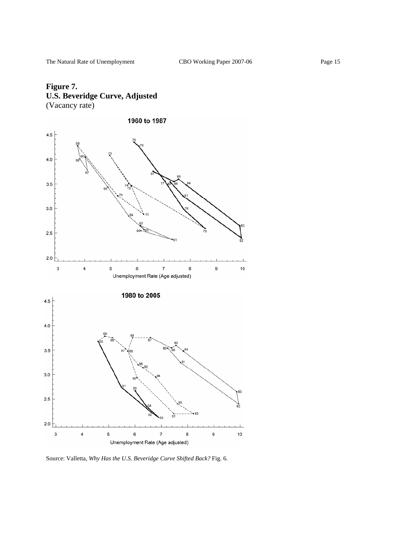# **Figure 7. U.S. Beveridge Curve, Adjusted**  (Vacancy rate)



Source: Valletta, *Why Has the U.S. Beveridge Curve Shifted Back?* Fig. 6.